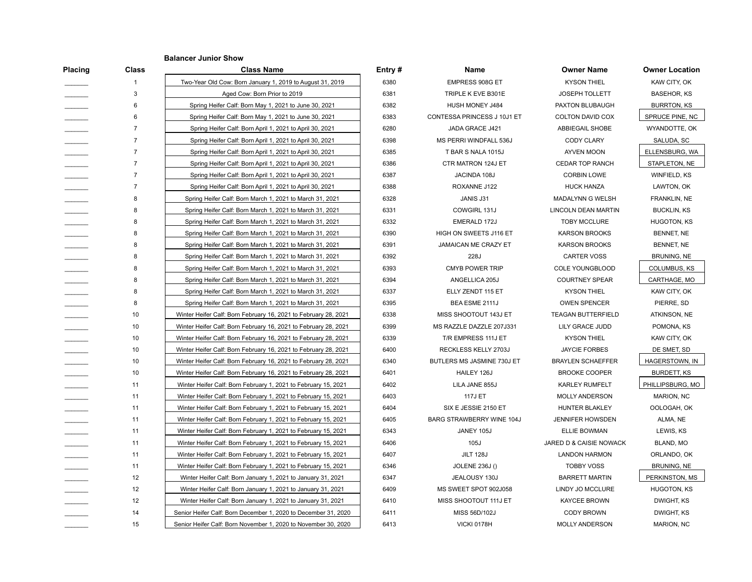## **Balancer Junior Show**

| <b>Placing</b> | <b>Class</b>   | <b>Class Name</b>                                               | Entry# | Name                        | <b>Owner Name</b>          | <b>Owner Location</b> |
|----------------|----------------|-----------------------------------------------------------------|--------|-----------------------------|----------------------------|-----------------------|
|                |                | Two-Year Old Cow: Born January 1, 2019 to August 31, 2019       | 6380   | EMPRESS 908G ET             | <b>KYSON THIEL</b>         | KAW CITY, OK          |
|                | 3              | Aged Cow: Born Prior to 2019                                    | 6381   | TRIPLE K EVE B301E          | <b>JOSEPH TOLLETT</b>      | <b>BASEHOR, KS</b>    |
|                | 6              | Spring Heifer Calf: Born May 1, 2021 to June 30, 2021           | 6382   | HUSH MONEY J484             | PAXTON BLUBAUGH            | <b>BURRTON, KS</b>    |
|                | 6              | Spring Heifer Calf: Born May 1, 2021 to June 30, 2021           | 6383   | CONTESSA PRINCESS J 10J1 ET | COLTON DAVID COX           | SPRUCE PINE, NC       |
|                |                | Spring Heifer Calf: Born April 1, 2021 to April 30, 2021        | 6280   | JADA GRACE J421             | ABBIEGAIL SHOBE            | WYANDOTTE, OK         |
|                |                | Spring Heifer Calf: Born April 1, 2021 to April 30, 2021        | 6398   | MS PERRI WINDFALL 536J      | <b>CODY CLARY</b>          | SALUDA, SC            |
|                | 7              | Spring Heifer Calf: Born April 1, 2021 to April 30, 2021        | 6385   | T BAR S NALA 1015J          | AYVEN MOON                 | ELLENSBURG, WA        |
|                | $\overline{7}$ | Spring Heifer Calf: Born April 1, 2021 to April 30, 2021        | 6386   | CTR MATRON 124J ET          | <b>CEDAR TOP RANCH</b>     | STAPLETON, NE         |
|                | $\overline{7}$ | Spring Heifer Calf: Born April 1, 2021 to April 30, 2021        | 6387   | JACINDA 108J                | <b>CORBIN LOWE</b>         | WINFIELD, KS          |
|                | $\overline{7}$ | Spring Heifer Calf: Born April 1, 2021 to April 30, 2021        | 6388   | ROXANNE J122                | <b>HUCK HANZA</b>          | LAWTON, OK            |
|                | 8              | Spring Heifer Calf: Born March 1, 2021 to March 31, 2021        | 6328   | JANIS J31                   | MADALYNN G WELSH           | FRANKLIN, NE          |
|                | 8              | Spring Heifer Calf: Born March 1, 2021 to March 31, 2021        | 6331   | COWGIRL 131J                | <b>LINCOLN DEAN MARTIN</b> | <b>BUCKLIN, KS</b>    |
|                | 8              | Spring Heifer Calf: Born March 1, 2021 to March 31, 2021        | 6332   | EMERALD 172J                | TOBY MCCLURE               | <b>HUGOTON, KS</b>    |
|                | 8              | Spring Heifer Calf: Born March 1, 2021 to March 31, 2021        | 6390   | HIGH ON SWEETS J116 ET      | <b>KARSON BROOKS</b>       | BENNET, NE            |
|                | 8              | Spring Heifer Calf: Born March 1, 2021 to March 31, 2021        | 6391   | JAMAICAN ME CRAZY ET        | <b>KARSON BROOKS</b>       | BENNET, NE            |
|                | 8              | Spring Heifer Calf: Born March 1, 2021 to March 31, 2021        | 6392   | 228J                        | <b>CARTER VOSS</b>         | BRUNING, NE           |
|                | 8              | Spring Heifer Calf: Born March 1, 2021 to March 31, 2021        | 6393   | <b>CMYB POWER TRIP</b>      | <b>COLE YOUNGBLOOD</b>     | COLUMBUS, KS          |
|                | 8              | Spring Heifer Calf: Born March 1, 2021 to March 31, 2021        | 6394   | ANGELLICA 205J              | <b>COURTNEY SPEAR</b>      | CARTHAGE, MO          |
|                | 8              | Spring Heifer Calf: Born March 1, 2021 to March 31, 2021        | 6337   | ELLY ZENDT 115 ET           | <b>KYSON THIEL</b>         | KAW CITY, OK          |
|                | 8              | Spring Heifer Calf: Born March 1, 2021 to March 31, 2021        | 6395   | BEA ESME 2111J              | <b>OWEN SPENCER</b>        | PIERRE, SD            |
|                | 10             | Winter Heifer Calf: Born February 16, 2021 to February 28, 2021 | 6338   | MISS SHOOTOUT 143J ET       | <b>TEAGAN BUTTERFIELD</b>  | ATKINSON, NE          |
|                | 10             | Winter Heifer Calf: Born February 16, 2021 to February 28, 2021 | 6399   | MS RAZZLE DAZZLE 207J331    | LILY GRACE JUDD            | POMONA, KS            |
|                | 10             | Winter Heifer Calf: Born February 16, 2021 to February 28, 2021 | 6339   | T/R EMPRESS 111J ET         | <b>KYSON THIEL</b>         | KAW CITY, OK          |
|                | 10             | Winter Heifer Calf: Born February 16, 2021 to February 28, 2021 | 6400   | RECKLESS KELLY 2703J        | <b>JAYCIE FORBES</b>       | DE SMET, SD           |
|                | 10             | Winter Heifer Calf: Born February 16, 2021 to February 28, 2021 | 6340   | BUTLERS MS JASMINE 730J ET  | <b>BRAYLEN SCHAEFFER</b>   | HAGERSTOWN, IN        |
|                | 10             | Winter Heifer Calf: Born February 16, 2021 to February 28, 2021 | 6401   | HAILEY 126J                 | <b>BROOKE COOPER</b>       | <b>BURDETT, KS</b>    |
|                | 11             | Winter Heifer Calf: Born February 1, 2021 to February 15, 2021  | 6402   | LILA JANE 855J              | <b>KARLEY RUMFELT</b>      | PHILLIPSBURG, MO      |
|                | 11             | Winter Heifer Calf: Born February 1, 2021 to February 15, 2021  | 6403   | <b>117J ET</b>              | <b>MOLLY ANDERSON</b>      | <b>MARION, NC</b>     |
|                | 11             | Winter Heifer Calf: Born February 1, 2021 to February 15, 2021  | 6404   | SIX E JESSIE 2150 ET        | HUNTER BLAKLEY             | OOLOGAH, OK           |
|                | 11             | Winter Heifer Calf: Born February 1, 2021 to February 15, 2021  | 6405   | BARG STRAWBERRY WINE 104J   | JENNIFER HOWSDEN           | ALMA, NE              |
|                | 11             | Winter Heifer Calf: Born February 1, 2021 to February 15, 2021  | 6343   | JANEY 105J                  | ELLIE BOWMAN               | LEWIS, KS             |
|                | 11             | Winter Heifer Calf: Born February 1, 2021 to February 15, 2021  | 6406   | 105J                        | JARED D & CAISIE NOWACK    | BLAND, MO             |
|                | 11             | Winter Heifer Calf: Born February 1, 2021 to February 15, 2021  | 6407   | <b>JILT 128J</b>            | <b>LANDON HARMON</b>       | ORLANDO, OK           |
|                | 11             | Winter Heifer Calf: Born February 1, 2021 to February 15, 2021  | 6346   | JOLENE 236J ()              | <b>TOBBY VOSS</b>          | BRUNING, NE           |
|                | 12             | Winter Heifer Calf: Born January 1, 2021 to January 31, 2021    | 6347   | JEALOUSY 130J               | <b>BARRETT MARTIN</b>      | PERKINSTON, MS        |
|                | 12             | Winter Heifer Calf: Born January 1, 2021 to January 31, 2021    | 6409   | MS SWEET SPOT 902J058       | LINDY JO MCCLURE           | <b>HUGOTON, KS</b>    |
|                | 12             | Winter Heifer Calf: Born January 1, 2021 to January 31, 2021    | 6410   | MISS SHOOTOUT 111J ET       | <b>KAYCEE BROWN</b>        | DWIGHT, KS            |
|                | 14             | Senior Heifer Calf: Born December 1, 2020 to December 31, 2020  | 6411   | MISS 56D/102J               | <b>CODY BROWN</b>          | DWIGHT, KS            |
|                | 15             | Senior Heifer Calf: Born November 1, 2020 to November 30, 2020  | 6413   | <b>VICKI 0178H</b>          | MOLLY ANDERSON             | <b>MARION, NC</b>     |

| <b>Name</b>               | <b>Owner Name</b>         | Owner L             |
|---------------------------|---------------------------|---------------------|
| EMPRESS 908G ET           | <b>KYSON THIEL</b>        | KAW CIT             |
| TRIPLE K EVE B301E        | JOSEPH TOLLETT            | <b>BASEH</b>        |
| HUSH MONEY J484           | PAXTON BLUBAUGH           | <b>BURRTO</b>       |
| NTESSA PRINCESS J 10J1 ET | COLTON DAVID COX          | SPRUCE F            |
| JADA GRACE J421           | ABBIEGAIL SHOBE           | WYANDO <sup>®</sup> |
| MS PERRI WINDFALL 536J    | CODY CLARY                | SALUD.              |
| T BAR S NALA 1015J        | AYVEN MOON                | <b>ELLENSBL</b>     |
| CTR MATRON 124J ET        | CEDAR TOP RANCH           | <b>STAPLET</b>      |
| JACINDA 108J              | <b>CORBIN LOWE</b>        | <b>WINFIEL</b>      |
| ROXANNE J122              | HUCK HANZA                | LAWTO               |
| JANIS J31                 | MADALYNN G WELSH          | <b>FRANKL</b>       |
| COWGIRL 131J              | LINCOLN DEAN MARTIN       | <b>BUCKLI</b>       |
| EMERALD 172J              | <b>TOBY MCCLURE</b>       | <b>HUGOT</b>        |
| HIGH ON SWEETS J116 ET    | <b>KARSON BROOKS</b>      | <b>BENNE</b>        |
| JAMAICAN ME CRAZY ET      | <b>KARSON BROOKS</b>      | <b>BENNE</b>        |
| 228J                      | <b>CARTER VOSS</b>        | <b>BRUNIN</b>       |
| <b>CMYB POWER TRIP</b>    | COLE YOUNGBLOOD           | <b>COLUMB</b>       |
| ANGELLICA 205J            | <b>COURTNEY SPEAR</b>     | <b>CARTHA</b>       |
| ELLY ZENDT 115 ET         | <b>KYSON THIEL</b>        | KAW CIT             |
| BEA ESME 2111J            | <b>OWEN SPENCER</b>       | PIERRI              |
| MISS SHOOTOUT 143J ET     | <b>TEAGAN BUTTERFIELD</b> | <b>ATKINSO</b>      |
| IS RAZZLE DAZZLE 207J331  | LILY GRACE JUDD           | <b>POMON</b>        |
| T/R EMPRESS 111J ET       | KYSON THIEL               | KAW CIT             |
| RECKLESS KELLY 2703J      | <b>JAYCIE FORBES</b>      | DE SME              |
| JTLERS MS JASMINE 730J ET | <b>BRAYLEN SCHAEFFER</b>  | <b>HAGERST</b>      |
| HAILEY 126J               | <b>BROOKE COOPER</b>      | BURDE <sup>-</sup>  |
| LILA JANE 855J            | <b>KARLEY RUMFELT</b>     | PHILLIPSB           |
| <b>117J ET</b>            | <b>MOLLY ANDERSON</b>     | <b>MARIO</b>        |
| SIX E JESSIE 2150 ET      | HUNTER BLAKLEY            | OOLOG/              |
| RG STRAWBERRY WINE 104J   | JENNIFER HOWSDEN          | <b>ALMA</b>         |
| JANEY 105J                | ELLIE BOWMAN              | LEWIS               |
| 105J                      | JARED D & CAISIE NOWACK   | <b>BLAND</b>        |
| <b>JILT 128J</b>          | <b>LANDON HARMON</b>      | ORLAND              |
| <b>JOLENE 236J ()</b>     | <b>TOBBY VOSS</b>         | <b>BRUNIN</b>       |
| JEALOUSY 130J             | <b>BARRETT MARTIN</b>     | <b>PERKINST</b>     |
| MS SWEET SPOT 902J058     | LINDY JO MCCLURE          | <b>HUGOT</b>        |
| MISS SHOOTOUT 111J ET     | <b>KAYCEE BROWN</b>       | <b>DWIGH</b>        |
| MISS 56D/102J             | <b>CODY BROWN</b>         | <b>DWIGH</b>        |
| <b>VICKI 0178H</b>        | <b>MOLLY ANDERSON</b>     | <b>MARIO</b>        |